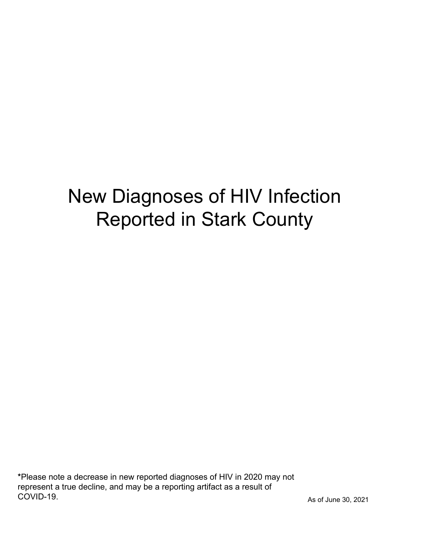# New Diagnoses of HIV Infection Reported in Stark County

\*Please note a decrease in new reported diagnoses of HIV in 2020 may not represent a true decline, and may be a reporting artifact as a result of COVID-19.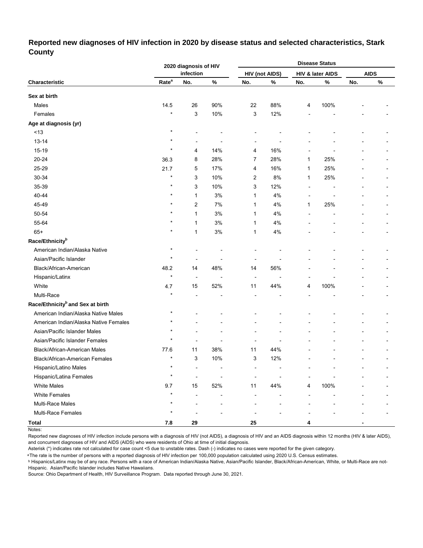# **Reported new diagnoses of HIV infection in 2020 by disease status and selected characteristics, Stark County**

|                                              |                   | 2020 diagnosis of HIV    |      |                          |                       |              | <b>Disease Status</b> |     |             |  |
|----------------------------------------------|-------------------|--------------------------|------|--------------------------|-----------------------|--------------|-----------------------|-----|-------------|--|
|                                              |                   | infection                |      |                          | <b>HIV (not AIDS)</b> |              | HIV & later AIDS      |     | <b>AIDS</b> |  |
| Characteristic                               | Rate <sup>a</sup> | No.                      | $\%$ | No.                      | %                     | No.          | %                     | No. | $\%$        |  |
| Sex at birth                                 |                   |                          |      |                          |                       |              |                       |     |             |  |
| Males                                        | 14.5              | 26                       | 90%  | 22                       | 88%                   | 4            | 100%                  |     |             |  |
| Females                                      | $\star$           | 3                        | 10%  | 3                        | 12%                   |              |                       |     |             |  |
| Age at diagnosis (yr)                        |                   |                          |      |                          |                       |              |                       |     |             |  |
| $<13$                                        | $\star$           |                          |      |                          |                       |              |                       |     |             |  |
| $13 - 14$                                    | $\star$           | $\overline{a}$           |      | $\overline{a}$           |                       |              |                       |     |             |  |
| 15-19                                        | $\star$           | 4                        | 14%  | 4                        | 16%                   |              |                       |     |             |  |
| 20-24                                        | 36.3              | 8                        | 28%  | 7                        | 28%                   | 1            | 25%                   |     |             |  |
| 25-29                                        | 21.7              | 5                        | 17%  | 4                        | 16%                   | 1            | 25%                   |     |             |  |
| 30-34                                        | $\star$           | 3                        | 10%  | 2                        | 8%                    | $\mathbf{1}$ | 25%                   |     |             |  |
| 35-39                                        | $\star$           | 3                        | 10%  | 3                        | 12%                   | ٠            |                       |     |             |  |
| 40-44                                        | $\star$           | 1                        | 3%   | 1                        | 4%                    |              |                       |     |             |  |
| 45-49                                        | $\star$           | 2                        | 7%   | 1                        | 4%                    | $\mathbf{1}$ | 25%                   |     |             |  |
| 50-54                                        | $\star$           | 1                        | $3%$ | 1                        | 4%                    |              |                       |     |             |  |
| 55-64                                        | $\star$           | 1                        | $3%$ | 1                        | 4%                    |              |                       |     |             |  |
| $65+$                                        | $\star$           | $\mathbf{1}$             | $3%$ | 1                        | 4%                    |              |                       |     |             |  |
| Race/Ethnicity <sup>b</sup>                  |                   |                          |      |                          |                       |              |                       |     |             |  |
| American Indian/Alaska Native                | $\star$           |                          |      |                          |                       |              |                       |     |             |  |
| Asian/Pacific Islander                       | $\star$           | ٠                        |      |                          |                       |              |                       |     |             |  |
| Black/African-American                       | 48.2              | 14                       | 48%  | 14                       | 56%                   |              |                       |     |             |  |
| Hispanic/Latinx                              | $\star$           | $\overline{\phantom{a}}$ | ٠    | $\overline{\phantom{a}}$ | ٠                     |              |                       |     |             |  |
| White                                        | 4.7               | 15                       | 52%  | 11                       | 44%                   | 4            | 100%                  |     |             |  |
| Multi-Race                                   |                   |                          |      |                          |                       |              |                       |     |             |  |
| Race/Ethnicity <sup>b</sup> and Sex at birth |                   |                          |      |                          |                       |              |                       |     |             |  |
| American Indian/Alaska Native Males          | $\star$           |                          |      |                          |                       |              |                       |     |             |  |
| American Indian/Alaska Native Females        | $\star$           |                          |      |                          |                       |              |                       |     |             |  |
| Asian/Pacific Islander Males                 |                   |                          |      |                          |                       |              |                       |     |             |  |
| Asian/Pacific Islander Females               | $\star$           | ٠                        | ٠    | $\blacksquare$           |                       |              |                       |     |             |  |
| Black/African-American Males                 | 77.6              | 11                       | 38%  | 11                       | 44%                   |              |                       |     |             |  |
| Black/African-American Females               | $\star$           | 3                        | 10%  | 3                        | 12%                   |              |                       |     |             |  |
| Hispanic/Latino Males                        | $\star$           |                          |      |                          |                       |              |                       |     |             |  |
| Hispanic/Latina Females                      | $\star$           | Ĭ.                       |      |                          |                       |              |                       |     |             |  |
| <b>White Males</b>                           | 9.7               | 15                       | 52%  | 11                       | 44%                   | 4            | 100%                  |     |             |  |
| <b>White Females</b>                         | $\star$           |                          |      |                          |                       |              |                       |     |             |  |
| Multi-Race Males                             | $\star$           |                          |      |                          |                       |              |                       |     |             |  |
| Multi-Race Females                           | $\star$           |                          |      |                          |                       |              |                       |     |             |  |
| Total                                        | 7.8               | 29                       |      | 25                       |                       | 4            |                       |     |             |  |

Notes:

Reported new diagnoses of HIV infection include persons with a diagnosis of HIV (not AIDS), a diagnosis of HIV and an AIDS diagnosis within 12 months (HIV & later AIDS), and concurrent diagnoses of HIV and AIDS (AIDS) who were residents of Ohio at time of initial diagnosis.

Asterisk (\*) indicates rate not calculated for case count <5 due to unstable rates. Dash (-) indicates no cases were reported for the given category.

<sup>a</sup>The rate is the number of persons with a reported diagnosis of HIV infection per 100,000 population calculated using 2020 U.S. Census estimates.

ᵇ Hispanics/Latinx may be of any race. Persons with a race of American Indian/Alaska Native, Asian/Pacific Islander, Black/African-American, White, or Multi-Race are not-Hispanic. Asian/Pacific Islander includes Native Hawaiians.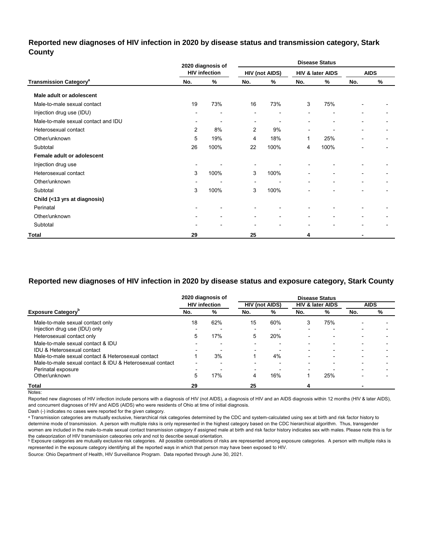# **Reported new diagnoses of HIV infection in 2020 by disease status and transmission category, Stark County**

|                                          |                              | 2020 diagnosis of        | <b>Disease Status</b>    |                              |                          |                          |                          |               |
|------------------------------------------|------------------------------|--------------------------|--------------------------|------------------------------|--------------------------|--------------------------|--------------------------|---------------|
|                                          |                              | <b>HIV infection</b>     |                          | <b>HIV (not AIDS)</b>        |                          | HIV & later AIDS         |                          | <b>AIDS</b>   |
| <b>Transmission Category<sup>a</sup></b> | No.                          | $\%$                     | No.                      | %                            | No.                      | %                        | No.                      | $\frac{0}{0}$ |
| Male adult or adolescent                 |                              |                          |                          |                              |                          |                          |                          |               |
| Male-to-male sexual contact              | 19                           | 73%                      | 16                       | 73%                          | 3                        | 75%                      |                          |               |
| Injection drug use (IDU)                 |                              | ٠                        | $\blacksquare$           | ٠                            |                          | $\overline{\phantom{0}}$ |                          |               |
| Male-to-male sexual contact and IDU      | $\overline{\phantom{a}}$     | $\blacksquare$           | $\overline{\phantom{0}}$ |                              |                          | $\blacksquare$           |                          |               |
| Heterosexual contact                     | $\overline{2}$               | 8%                       | $\overline{2}$           | 9%                           | $\blacksquare$           | $\blacksquare$           |                          |               |
| Other/unknown                            | 5                            | 19%                      | 4                        | 18%                          | 1                        | 25%                      |                          |               |
| Subtotal                                 | 26                           | 100%                     | 22                       | 100%                         | 4                        | 100%                     | -                        |               |
| Female adult or adolescent               |                              |                          |                          |                              |                          |                          |                          |               |
| Injection drug use                       | $\qquad \qquad \blacksquare$ |                          | $\blacksquare$           |                              |                          |                          |                          |               |
| Heterosexual contact                     | 3                            | 100%                     | 3                        | 100%                         | $\overline{\phantom{a}}$ | ٠                        | $\overline{\phantom{0}}$ |               |
| Other/unknown                            | ٠                            | $\overline{\phantom{0}}$ | $\overline{\phantom{a}}$ | ٠                            | $\blacksquare$           | $\blacksquare$           | $\overline{a}$           |               |
| Subtotal                                 | 3                            | 100%                     | 3                        | 100%                         | $\blacksquare$           | $\overline{\phantom{a}}$ | $\overline{\phantom{0}}$ | -             |
| Child (<13 yrs at diagnosis)             |                              |                          |                          |                              |                          |                          |                          |               |
| Perinatal                                | $\overline{\phantom{0}}$     |                          |                          |                              |                          |                          |                          |               |
| Other/unknown                            | $\overline{\phantom{a}}$     | ٠                        | $\overline{\phantom{a}}$ | $\qquad \qquad \blacksquare$ | $\blacksquare$           | ٠                        |                          |               |
| Subtotal                                 | $\overline{\phantom{0}}$     |                          | $\overline{\phantom{a}}$ | ۰                            | $\blacksquare$           |                          |                          |               |
| Total                                    | 29                           |                          | 25                       |                              | 4                        |                          |                          |               |

# **Reported new diagnoses of HIV infection in 2020 by disease status and exposure category, Stark County**

|                                                          |                          | 2020 diagnosis of    |                          |     |                          | <b>Disease Status</b>       |                          |             |
|----------------------------------------------------------|--------------------------|----------------------|--------------------------|-----|--------------------------|-----------------------------|--------------------------|-------------|
|                                                          |                          | <b>HIV</b> infection | <b>HIV (not AIDS)</b>    |     |                          | <b>HIV &amp; later AIDS</b> |                          | <b>AIDS</b> |
| <b>Exposure Category</b> "                               | No.                      | %                    | No.                      | %   | No.                      | %                           | No.                      | %           |
| Male-to-male sexual contact only                         | 18                       | 62%                  | 15                       | 60% | 3                        | 75%                         | $\overline{\phantom{0}}$ |             |
| Injection drug use (IDU) only                            | $\overline{\phantom{0}}$ |                      | $\overline{\phantom{0}}$ |     | $\overline{\phantom{0}}$ | $\overline{\phantom{0}}$    |                          |             |
| Heterosexual contact only                                | 5                        | 17%                  | 5                        | 20% | $\overline{\phantom{0}}$ | $\overline{\phantom{0}}$    |                          |             |
| Male-to-male sexual contact & IDU                        |                          |                      | $\overline{\phantom{0}}$ | ۰   | $\overline{\phantom{0}}$ | $\overline{\phantom{0}}$    |                          |             |
| IDU & Heterosexual contact                               | $\overline{\phantom{a}}$ |                      | $\overline{\phantom{0}}$ |     | $\overline{\phantom{0}}$ |                             |                          |             |
| Male-to-male sexual contact & Heterosexual contact       |                          | 3%                   |                          | 4%  | $\overline{\phantom{0}}$ | $\overline{\phantom{0}}$    |                          |             |
| Male-to-male sexual contact & IDU & Heterosexual contact | $\overline{\phantom{0}}$ |                      |                          |     |                          |                             |                          |             |
| Perinatal exposure                                       | $\overline{\phantom{a}}$ |                      | $\overline{\phantom{a}}$ |     | $\overline{\phantom{0}}$ |                             |                          |             |
| Other/unknown                                            | 5                        | 17%                  | 4                        | 16% |                          | 25%                         |                          |             |
| <b>Total</b>                                             | 29                       |                      | 25                       |     |                          |                             |                          |             |

Notes:

Reported new diagnoses of HIV infection include persons with a diagnosis of HIV (not AIDS), a diagnosis of HIV and an AIDS diagnosis within 12 months (HIV & later AIDS), and concurrent diagnoses of HIV and AIDS (AIDS) who were residents of Ohio at time of initial diagnosis.

Dash (-) indicates no cases were reported for the given category.

a Transmission categories are mutually exclusive, hierarchical risk categories determined by the CDC and system-calculated using sex at birth and risk factor history to determine mode of transmission. A person with multiple risks is only represented in the highest category based on the CDC hierarchical algorithm. Thus, transgender women are included in the male-to-male sexual contact transmission category if assigned male at birth and risk factor history indicates sex with males. Please note this is for

the cateqorization of HIV transmission cateqories only and not to describe sexual orientation.<br>▷ Exposure categories are mutually exclusive risk categories. All possible combinations of risks are represented among exposu represented in the exposure category identifying all the reported ways in which that person may have been exposed to HIV.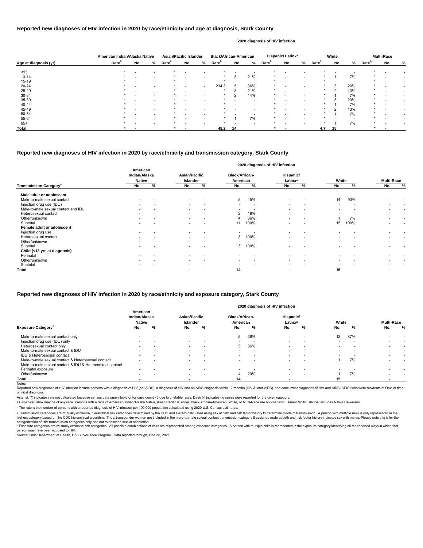|                       | American Indian/Alaska Native |     |                          | <b>Asian/Pacific Islander</b> |                          |                          | <b>Black/African-American</b> |     |                          |                   | Hispanic/Latinx <sup>a</sup> |      |                   | White  |     |                   | <b>Multi-Race</b> |   |
|-----------------------|-------------------------------|-----|--------------------------|-------------------------------|--------------------------|--------------------------|-------------------------------|-----|--------------------------|-------------------|------------------------------|------|-------------------|--------|-----|-------------------|-------------------|---|
| Age at diagnosis (yr) | Rate <sup>b</sup>             | No. | %                        | Rate <sup>b</sup>             | No.                      | %                        | Rate <sup>p</sup>             | No. | %                        | Rate <sup>b</sup> | No.                          | $\%$ | Rate <sup>b</sup> | No.    | %   | Rate <sup>b</sup> | No.               | % |
| ~13                   |                               |     | $\overline{\phantom{a}}$ |                               | $\overline{\phantom{0}}$ |                          |                               |     |                          |                   |                              |      |                   |        |     |                   |                   |   |
| $13 - 14$             |                               |     | $\overline{\phantom{a}}$ |                               |                          |                          |                               | 3   | 21%                      |                   |                              |      |                   |        | 7%  |                   |                   |   |
| 15-19                 |                               |     | $\overline{\phantom{0}}$ |                               | $\overline{\phantom{0}}$ |                          |                               |     | $\overline{\phantom{a}}$ |                   |                              |      |                   |        |     |                   |                   |   |
| 20-24                 |                               |     | $\overline{\phantom{0}}$ |                               |                          | $\overline{\phantom{0}}$ | 234.3                         |     | 36%                      |                   |                              |      |                   | 3      | 20% |                   |                   |   |
| 25-29                 |                               |     |                          |                               |                          |                          |                               |     | 21%                      |                   |                              |      |                   | $\sim$ | 13% |                   |                   |   |
| 30-34                 |                               |     | $\overline{\phantom{a}}$ |                               |                          |                          |                               |     | 14%                      |                   |                              |      |                   |        | 7%  |                   |                   |   |
| 35-39                 |                               |     | $\overline{\phantom{a}}$ |                               |                          |                          |                               |     | $\overline{\phantom{a}}$ |                   |                              |      | $\star$           | 3      | 20% |                   |                   |   |
| 40-44                 |                               |     | $\overline{\phantom{0}}$ |                               |                          |                          |                               |     | $\overline{\phantom{0}}$ |                   |                              |      | $\star$           |        | 7%  |                   |                   |   |
| 45-49                 |                               |     |                          |                               |                          |                          |                               |     |                          |                   |                              |      |                   | ົ      | 13% |                   |                   |   |
| 50-54                 |                               |     |                          |                               |                          |                          |                               |     |                          |                   |                              |      |                   |        | 7%  |                   |                   |   |
| 55-64                 |                               |     | $\overline{\phantom{a}}$ |                               |                          |                          |                               |     | 7%                       |                   |                              |      |                   |        |     |                   |                   |   |
| $65+$                 |                               |     |                          |                               |                          |                          |                               |     | $\overline{\phantom{a}}$ |                   |                              |      |                   |        | 7%  |                   |                   |   |
| <b>Total</b>          |                               |     |                          |                               |                          |                          | 48.2                          | 14  |                          |                   |                              |      | 4.7               | 15     |     |                   |                   |   |

Reported new diagnoses of HIV infection include persons with a diagnosis of HIV (not AIDS), a diagnosis of HIV and an AIDS diagnosis within 12 months (HIV & later AIDS), and concurrent diagnoses of HIV and AIDS (AIDS) who of initial diagnosis.

|                                           |                                            |   |                                         |                          |                                   |                          | 2020 diagnosis of HIV infection  |                          |                          |                          |                          |                          |
|-------------------------------------------|--------------------------------------------|---|-----------------------------------------|--------------------------|-----------------------------------|--------------------------|----------------------------------|--------------------------|--------------------------|--------------------------|--------------------------|--------------------------|
|                                           | American<br>Indian/Alaska<br><b>Native</b> |   | <b>Asian/Pacific</b><br><b>Islander</b> |                          | <b>Black/African-</b><br>American |                          | Hispanic/<br>Latinx <sup>a</sup> |                          | White                    |                          | <b>Multi-Race</b>        |                          |
| <b>Transmission Category</b> <sup>c</sup> | No.                                        | % | No.                                     | %                        | No.                               | %                        | No.                              | %                        | No.                      | %                        | No.                      | $\%$                     |
| Male adult or adolescent                  |                                            |   |                                         |                          |                                   |                          |                                  |                          |                          |                          |                          |                          |
| Male-to-male sexual contact               |                                            |   | $\overline{\phantom{0}}$                |                          | $5^{\circ}$                       | 45%                      | $\overline{\phantom{a}}$         | $\overline{\phantom{a}}$ | 14                       | 93%                      |                          |                          |
| Injection drug use (IDU)                  |                                            |   | $\sim$                                  |                          | $\overline{\phantom{a}}$          | $\overline{\phantom{a}}$ | $\overline{\phantom{a}}$         | $\overline{\phantom{0}}$ |                          | $\overline{\phantom{a}}$ |                          |                          |
| Male-to-male sexual contact and IDU       |                                            |   | $\sim$                                  | $\overline{a}$           | $\overline{\phantom{0}}$          |                          | $\overline{\phantom{0}}$         |                          |                          |                          | $\overline{\phantom{0}}$ |                          |
| Heterosexual contact                      |                                            |   | $\sim$                                  | $\overline{\phantom{a}}$ | $\mathbf{2}^{\circ}$              | 18%                      | $\overline{\phantom{a}}$         |                          |                          |                          | $\overline{\phantom{0}}$ | $\overline{\phantom{a}}$ |
| Other/unknown                             | $\overline{\phantom{0}}$                   |   | $\sim$                                  | $\overline{\phantom{a}}$ |                                   | 36%                      | $\overline{\phantom{a}}$         | $\overline{\phantom{a}}$ |                          | 7%                       |                          | $\overline{\phantom{0}}$ |
| Subtotal                                  |                                            |   |                                         |                          | 11                                | 100%                     |                                  |                          | 15                       | 100%                     |                          |                          |
| Female adult or adolescent                |                                            |   |                                         |                          |                                   |                          |                                  |                          |                          |                          |                          |                          |
| Injection drug use                        |                                            |   |                                         |                          |                                   |                          |                                  |                          |                          |                          |                          |                          |
| Heterosexual contact                      |                                            |   | $\sim$                                  | $\overline{\phantom{0}}$ | 3                                 | 100%                     |                                  |                          |                          |                          | $\overline{\phantom{0}}$ | $\overline{\phantom{0}}$ |
| Other/unknown                             |                                            |   | $\sim$                                  | $\overline{\phantom{a}}$ | $\overline{\phantom{0}}$          |                          | $\overline{\phantom{a}}$         | $\overline{\phantom{0}}$ | $\overline{\phantom{0}}$ |                          | $\overline{\phantom{a}}$ | $\overline{\phantom{a}}$ |
| Subtotal                                  |                                            |   | $\overline{\phantom{a}}$                |                          | 3                                 | 100%                     |                                  |                          |                          |                          |                          |                          |
| Child (<13 yrs at diagnosis)              |                                            |   |                                         |                          |                                   |                          |                                  |                          |                          |                          |                          |                          |
| Perinatal                                 |                                            |   |                                         |                          |                                   |                          |                                  |                          |                          |                          |                          |                          |
| Other/unknown                             |                                            |   | $\sim$                                  |                          | $\overline{\phantom{0}}$          | $\overline{\phantom{0}}$ | $\overline{\phantom{a}}$         | $\overline{\phantom{0}}$ |                          |                          |                          |                          |
| Subtotal                                  |                                            |   | $\overline{\phantom{a}}$                |                          | $\overline{\phantom{0}}$          |                          | $\overline{\phantom{a}}$         |                          |                          |                          |                          |                          |
| Total                                     |                                            |   | $\overline{\phantom{0}}$                |                          | 14                                |                          |                                  |                          | 15                       |                          | $\blacksquare$           |                          |

### **Reported new diagnoses of HIV infection in 2020 by race/ethnicity and age at diagnosis, Stark County**

#### **2020 diagnosis of HIV infection**

#### **Reported new diagnoses of HIV infection in 2020 by race/ethnicity and transmission category, Stark County**

Source: Ohio Department of Health, HIV Surveillance Program. Data reported through June 30, 2021.

|                                                          | American<br>Indian/Alaska<br><b>Native</b> |                          | <b>Asian/Pacific</b><br><b>Islander</b> |                          | <b>Black/African-</b><br>American |                          | Hispanic/<br>Latinx <sup>a</sup> |                          | White                    |     | <b>Multi-Race</b> |   |
|----------------------------------------------------------|--------------------------------------------|--------------------------|-----------------------------------------|--------------------------|-----------------------------------|--------------------------|----------------------------------|--------------------------|--------------------------|-----|-------------------|---|
| <b>Exposure Category</b> <sup>a</sup>                    | No.                                        | ℅                        | No.                                     | %                        | No.                               |                          | No.                              |                          | No.                      |     | No.               | % |
| Male-to-male sexual contact only                         |                                            |                          |                                         |                          | 5                                 | 36%                      | $\overline{\phantom{0}}$         |                          | 13                       | 87% |                   |   |
| Injection drug use (IDU) only                            |                                            |                          |                                         |                          |                                   |                          |                                  |                          |                          |     |                   |   |
| Heterosexual contact only                                | $\overline{\phantom{0}}$                   | $\overline{\phantom{a}}$ | $\overline{\phantom{0}}$                | $\overline{\phantom{0}}$ | 5                                 | 36%                      | $\overline{\phantom{0}}$         | $\overline{\phantom{a}}$ | $\overline{\phantom{0}}$ |     |                   |   |
| Male-to-male sexual contact & IDU                        | $\overline{\phantom{0}}$                   |                          | $\overline{\phantom{0}}$                |                          |                                   |                          | $\overline{\phantom{0}}$         |                          |                          |     |                   |   |
| IDU & Heterosexual contact                               |                                            |                          |                                         |                          |                                   |                          | -                                |                          |                          |     |                   |   |
| Male-to-male sexual contact & Heterosexual contact       | $\overline{\phantom{0}}$                   | $\overline{\phantom{0}}$ | $\overline{\phantom{0}}$                | $\overline{\phantom{a}}$ | $\overline{\phantom{0}}$          | $\overline{\phantom{a}}$ | $\overline{\phantom{0}}$         | $\overline{\phantom{a}}$ |                          | 7%  |                   |   |
| Male-to-male sexual contact & IDU & Heterosexual contact | $\overline{\phantom{0}}$                   |                          |                                         |                          |                                   | $\overline{\phantom{a}}$ | -                                | $\overline{a}$           |                          |     |                   |   |
| Perinatal exposure                                       | $\overline{\phantom{0}}$                   |                          | $\overline{\phantom{0}}$                |                          |                                   |                          | $\overline{\phantom{0}}$         |                          |                          |     |                   |   |
| Other/unknown                                            | $\overline{\phantom{0}}$                   | $\overline{\phantom{a}}$ | $\overline{\phantom{0}}$                | $\overline{\phantom{a}}$ | 4                                 | 29%                      | $\overline{\phantom{0}}$         | $\overline{\phantom{0}}$ |                          | 7%  |                   |   |
| Total                                                    |                                            |                          |                                         |                          | 14                                |                          |                                  |                          | 15                       |     |                   |   |
| Notes:                                                   |                                            |                          |                                         |                          |                                   |                          |                                  |                          |                          |     |                   |   |

#### **Reported new diagnoses of HIV infection in 2020 by race/ethnicity and exposure category, Stark County**

#### **2020 diagnosis of HIV infection**

Asterisk (\*) indicates rate not calculated because census data unavailable or for case count <5 due to unstable rates. Dash (-) indicates no cases were reported for the given category.

a Hispanics/Latinx may be of any race. Persons with a race of American Indian/Alaska Native, Asian/Pacific Islander, Black/African-American, White, or Multi-Race are not-Hispanic. Asian/Pacific Islander includes Native Haw

categorization of HIV transmission categories only and not to describe sexual orientation. <sup>d</sup> Exposure categories are mutually exclusive risk categories. All possible combinations of risks are represented among exposure categories. A person with multiple risks is represented in the exposure category identifyin person may have been exposed to HIV.

ᵇ The rate is the number of persons with a reported diagnosis of HIV infection per 100,000 population calculated using 2020 U.S. Census estimates.

© Transmission categories are mutually exclusive, hierarchical risk categories determined by the CDC and system-calculated using sex at birth and risk factor history to determine mode of transmission. A person with multip highest category based on the CDC hierarchical algorithm. Thus, transgender women are included in the male-to-male sexual contact transmission category if assigned male at birth and risk factor history indicates sex with m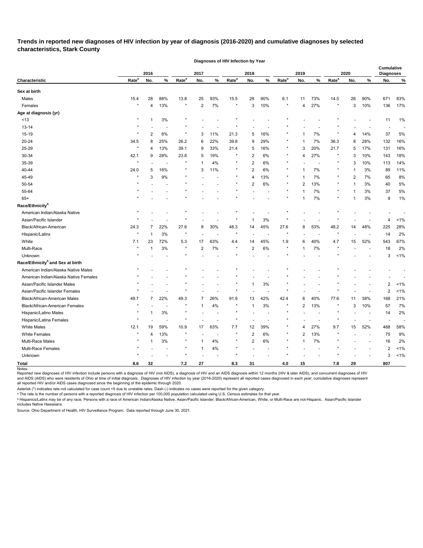**Trends in reported new diagnoses of HIV infection by year of diagnosis (2016-2020) and cumulative diagnoses by selected characteristics, Stark County** 

**Diagnoses of HIV Infection by Year**

|                                              |                   | 2016           |       |                   | 2017           |                |                   | 2018           |                |                   | 2019           |                          |                   | 2020 |      | <b>Cumulative</b><br><b>Diagnoses</b> |         |
|----------------------------------------------|-------------------|----------------|-------|-------------------|----------------|----------------|-------------------|----------------|----------------|-------------------|----------------|--------------------------|-------------------|------|------|---------------------------------------|---------|
| Characteristic                               | Rate <sup>a</sup> | No.            | $\%$  | Rate <sup>a</sup> | No.            | $\%$           | Rate <sup>a</sup> | No.            | $\%$           | Rate <sup>a</sup> | No.            | $\%$                     | Rate <sup>a</sup> | No.  | $\%$ | No.                                   | %       |
| Sex at birth                                 |                   |                |       |                   |                |                |                   |                |                |                   |                |                          |                   |      |      |                                       |         |
| Males                                        | 15.4              | 28             | 88%   | 13.8              | 25             | 93%            | 15.5              | 28             | 90%            | 6.1               | 11             | 73%                      | 14.5              | 26   | 90%  | 671                                   | 83%     |
| Females                                      | $\star$           | 4              | 13%   | $\star$           | $\overline{2}$ | 7%             | *                 | 3              | 10%            | $\star$           | 4              | 27%                      | $\star$           | 3    | 10%  | 136                                   | 17%     |
| Age at diagnosis (yr)                        |                   |                |       |                   |                |                |                   |                |                |                   |                |                          |                   |      |      |                                       |         |
| $<13$                                        | $\star$           |                | 3%    |                   |                |                |                   |                |                |                   |                |                          |                   |      |      | 11                                    | 1%      |
| 13-14                                        |                   |                |       |                   |                |                |                   |                |                |                   |                |                          |                   |      |      |                                       |         |
| 15-19                                        |                   | 2              | 6%    | $\star$           | 3              | 11%            | 21.3              | 5              | 16%            |                   | 1              | 7%                       |                   | 4    | 14%  | 37                                    | 5%      |
| 20-24                                        | 34.5              | 8              | 25%   | 26.2              | 6              | 22%            | 39.8              | 9              | 29%            |                   | -1             | 7%                       | 36.3              | 8    | 28%  | 132                                   | 16%     |
| 25-29                                        | $\star$           | 4              | 13%   | 39.1              | 9              | 33%            | 21.4              | 5              | 16%            |                   | 3              | 20%                      | 21.7              | 5    | 17%  | 131                                   | 16%     |
| 30-34                                        | 42.1              | 9              | 28%   | 23.8              | 5              | 19%            |                   | $\overline{c}$ | 6%             |                   | 4              | 27%                      |                   | 3    | 10%  | 143                                   | 18%     |
| 35-39                                        |                   |                |       | $\star$           |                | 4%             | $^\ast$           | $\overline{c}$ | 6%             |                   |                |                          | $\ast$            | 3    | 10%  | 113                                   | 14%     |
| 40-44                                        | 24.0              | 5              | 16%   | $^\star$          | 3              | 11%            | $^\ast$           | $\overline{2}$ | 6%             | $^\ast$           | 1              | 7%                       | $^\ast$           |      | 3%   | 89                                    | 11%     |
| 45-49                                        |                   | 3              | 9%    | $\star$           |                |                | $\star$           | $\overline{4}$ | 13%            | $^\ast$           |                | 7%                       | $^\ast$           | 2    | 7%   | 65                                    | 8%      |
| 50-54                                        |                   |                |       |                   |                |                |                   | 2              | 6%             | $^\star$          | $\overline{2}$ | 13%                      | $\star$           |      | 3%   | 40                                    | 5%      |
| 55-64                                        |                   |                |       |                   |                |                |                   |                |                |                   |                | 7%                       |                   |      | 3%   | 37                                    | 5%      |
| $65+$                                        |                   |                |       |                   |                |                |                   |                |                |                   |                | 7%                       | $\star$           |      | 3%   | 9                                     | 1%      |
| Race/Ethnicity <sup>b</sup>                  |                   |                |       |                   |                |                |                   |                |                |                   |                |                          |                   |      |      |                                       |         |
| American Indian/Alaska Native                |                   |                |       |                   |                |                |                   |                |                |                   |                |                          |                   |      |      |                                       |         |
| Asian/Pacific Islander                       |                   |                |       |                   |                |                |                   |                | 3%             |                   |                |                          |                   |      |      | 4                                     | 1%      |
| Black/African-American                       | 24.3              | 7              | 22%   | 27.6              | 8              | 30%            | 48.3              | 14             | 45%            | 27.6              | 8              | 53%                      | 48.2              | 14   | 48%  | 225                                   | 28%     |
| Hispanic/Latinx                              |                   |                | 3%    | $\star$           |                |                | $\star$           |                |                |                   |                |                          | $\star$           |      |      | 14                                    | 2%      |
| White                                        | 7.1               | 23             | 72%   | 5.3               | 17             | 63%            | 4.4               | 14             | 45%            | 1.9               | 6              | 40%                      | 4.7               | 15   | 52%  | 543                                   | 67%     |
| Multi-Race                                   |                   |                | 3%    | $\star$           | $\overline{2}$ | 7%             | $\star$           | 2              | 6%             | $^\star$          | 1              | 7%                       |                   |      |      | 18                                    | 2%      |
| Unknown                                      |                   |                |       |                   |                |                |                   |                |                |                   |                |                          |                   |      |      | 3                                     | 1%      |
| Race/Ethnicity <sup>b</sup> and Sex at birth |                   |                |       |                   |                |                |                   |                |                |                   |                |                          |                   |      |      |                                       |         |
| American Indian/Alaska Native Males          |                   |                |       |                   |                |                |                   |                |                |                   |                |                          |                   |      |      |                                       |         |
| American Indian/Alaska Native Females        |                   |                |       |                   |                |                |                   |                |                |                   |                |                          |                   |      |      |                                       |         |
| Asian/Pacific Islander Males                 |                   |                |       |                   |                |                |                   |                | 3%             |                   |                |                          |                   |      |      | 2                                     | 1%      |
| Asian/Pacific Islander Females               |                   |                |       |                   |                |                |                   |                |                |                   |                |                          |                   |      |      | 2                                     | $< 1\%$ |
| Black/African-American Males                 | 49.7              | 7              | 22%   | 49.3              | 7              | 26%            | 91.9              | 13             | 42%            | 42.4              | 6              | 40%                      | 77.6              | 11   | 38%  | 168                                   | 21%     |
| Black/African-American Females               |                   |                |       |                   |                | 4%             |                   | 1              | 3%             |                   | $\overline{c}$ | 13%                      |                   | 3    | 10%  | 57                                    | 7%      |
| Hispanic/Latino Males                        | $\star$           |                | $3\%$ | $\star$           |                |                |                   |                |                |                   |                |                          |                   |      |      | 14                                    | 2%      |
| Hispanic/Latina Females                      |                   |                |       | $\star$           |                |                |                   |                |                |                   |                |                          |                   |      |      |                                       |         |
| White Males                                  | 12.1              | 19             | 59%   | 10.9              | 17             | 63%            | $7.7\,$           | 12             | 39%            |                   | $\overline{4}$ | 27%                      | 9.7               | 15   | 52%  | 468                                   | 58%     |
| <b>White Females</b>                         | $\star$           | $\overline{4}$ | 13%   | $\star$           |                | $\overline{a}$ | $\star$           | $\overline{2}$ | 6%             |                   | 2              | 13%                      |                   |      |      | 75                                    | 9%      |
| Multi-Race Males                             |                   |                | 3%    | $\star$           | -1             | 4%             | $^\ast$           | $\overline{2}$ | $6\%$          |                   | $\mathbf{1}$   | 7%                       |                   |      |      | 16                                    | 2%      |
| Multi-Race Females                           |                   |                |       | $\star$           | -1             | $4\%$          | $\star$           |                | $\overline{a}$ | $^\star$          |                | $\overline{\phantom{0}}$ |                   |      |      | $\overline{\mathbf{c}}$               | $< 1\%$ |
| Unknown                                      |                   |                |       |                   |                |                |                   |                |                |                   |                |                          |                   |      |      | 3                                     | $< 1\%$ |
| <b>Total</b>                                 | 8.6               | 32             |       | $7.2\,$           | 27             |                | 8.3               | 31             |                | 4.0               | 15             |                          | $\bf 7.8$         | 29   |      | 807                                   |         |

Notes:

Reported new diagnoses of HIV infection include persons with a diagnosis of HIV (not AIDS), a diagnosis of HIV and an AIDS diagnosis within 12 months (HIV & later AIDS), and concurrent diagnoses of HIV and AIDS (AIDS) who were residents of Ohio at time of initial diagnosis. Diagnoses of HIV infection by year (2016-2020) represent all reported cases diagnosed in each year; cumulative diagnoses represent all reported HIV and/or AIDS cases diagnosed since the beginning of the epidemic through 2020.

Asterisk (\*) indicates rate not calculated for case count <5 due to unstable rates. Dash (-) indicates no cases were reported for the given category.

ᵃ The rate is the number of persons with a reported diagnosis of HIV infection per 100,000 population calculated using U.S. Census estimates for that year.

<sup>ь</sup> Hispanics/Latinx may be of any race. Persons with a race of American Indian/Alaska Native, Asian/Pacific Islander, Black/African-American, White, or Multi-Race are not-Hispanic. Asian/Pacific Islander includes Native Hawaiians.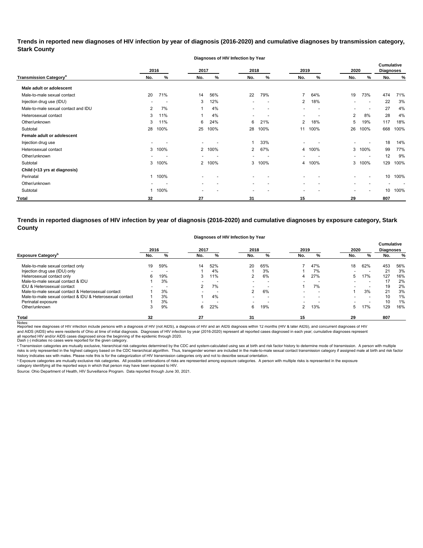**Trends in reported new diagnoses of HIV infection by year of diagnosis (2016-2020) and cumulative diagnoses by transmission category, Stark County**

|                                          |                |        |                          | Diagnoses of HIV Infection by Year |                          |                          |                          |                          |                          |                          |                                       |      |
|------------------------------------------|----------------|--------|--------------------------|------------------------------------|--------------------------|--------------------------|--------------------------|--------------------------|--------------------------|--------------------------|---------------------------------------|------|
|                                          | 2016           |        | 2017                     |                                    | 2018                     |                          | 2019                     |                          | 2020                     |                          | <b>Cumulative</b><br><b>Diagnoses</b> |      |
| <b>Transmission Category<sup>a</sup></b> | No.            | %      | No.                      | %                                  | No.                      | %                        | No.                      | %                        | No.                      | %                        | No.                                   | %    |
| Male adult or adolescent                 |                |        |                          |                                    |                          |                          |                          |                          |                          |                          |                                       |      |
| Male-to-male sexual contact              | 20             | 71%    | 14                       | 56%                                | 22                       | 79%                      | $\overline{7}$           | 64%                      | 19                       | 73%                      | 474                                   | 71%  |
| Injection drug use (IDU)                 |                |        | 3                        | 12%                                | $\overline{\phantom{0}}$ | $\overline{\phantom{a}}$ | 2                        | 18%                      |                          | $\overline{\phantom{a}}$ | 22                                    | 3%   |
| Male-to-male sexual contact and IDU      | $\overline{2}$ | 7%     |                          | 4%                                 | $\overline{\phantom{a}}$ | $\overline{\phantom{a}}$ | -                        | $\overline{\phantom{a}}$ | $\overline{\phantom{0}}$ | $\overline{\phantom{a}}$ | 27                                    | 4%   |
| Heterosexual contact                     | 3              | 11%    |                          | 4%                                 | $\overline{\phantom{0}}$ |                          | $\overline{\phantom{0}}$ |                          | $\overline{2}$           | 8%                       | 28                                    | 4%   |
| Other/unknown                            | 3              | 11%    | 6                        | 24%                                | 6                        | 21%                      | $\overline{2}$           | 18%                      | 5                        | 19%                      | 117                                   | 18%  |
| Subtotal                                 | 28             | 100%   | 25                       | 100%                               | 28                       | 100%                     | 11                       | 100%                     | 26                       | 100%                     | 668                                   | 100% |
| Female adult or adolescent               |                |        |                          |                                    |                          |                          |                          |                          |                          |                          |                                       |      |
| Injection drug use                       |                |        |                          |                                    | 1                        | 33%                      |                          |                          |                          |                          | 18                                    | 14%  |
| Heterosexual contact                     | 3              | 100%   | 2                        | 100%                               | $\overline{2}$           | 67%                      |                          | 4 100%                   |                          | 3 100%                   | 99                                    | 77%  |
| Other/unknown                            |                |        |                          |                                    | $\overline{\phantom{0}}$ |                          |                          | $\overline{a}$           |                          | $\overline{\phantom{a}}$ | 12                                    | 9%   |
| Subtotal                                 | 3              | 100%   |                          | 2 100%                             | 3                        | 100%                     |                          | 4 100%                   |                          | 3 100%                   | 129                                   | 100% |
| Child (<13 yrs at diagnosis)             |                |        |                          |                                    |                          |                          |                          |                          |                          |                          |                                       |      |
| Perinatal                                |                | 1 100% | $\overline{\phantom{a}}$ |                                    | $\overline{\phantom{a}}$ |                          |                          |                          |                          | $\overline{\phantom{0}}$ | 10                                    | 100% |
| Other/unknown                            | $\blacksquare$ |        | $\blacksquare$           |                                    | ۰.                       | $\overline{\phantom{a}}$ | $\overline{\phantom{0}}$ |                          |                          |                          |                                       |      |
| Subtotal                                 |                | 100%   |                          |                                    | $\overline{\phantom{a}}$ |                          |                          |                          |                          | $\overline{\phantom{0}}$ | 10                                    | 100% |
| <b>Total</b>                             | 32             |        | 27                       |                                    | 31                       |                          | 15                       |                          | 29                       |                          | 807                                   |      |

**Trends in reported diagnoses of HIV infection by year of diagnosis (2016-2020) and cumulative diagnoses by exposure category, Stark County**

**Diagnoses of HIV Infection by Year**

|                                                          |      |     | ັ    |     | . .                      |                          |      |                          |      |                          |                                       |               |
|----------------------------------------------------------|------|-----|------|-----|--------------------------|--------------------------|------|--------------------------|------|--------------------------|---------------------------------------|---------------|
|                                                          | 2016 |     | 2017 |     | 2018                     |                          | 2019 |                          | 2020 |                          | <b>Cumulative</b><br><b>Diagnoses</b> |               |
| <b>Exposure Category</b> <sup>b</sup>                    | No.  |     | No.  | %   | No.                      | %                        | No.  | %                        | No.  | %                        | No.                                   | $\frac{9}{6}$ |
| Male-to-male sexual contact only                         | 19   | 59% | 14   | 52% | 20                       | 65%                      |      | 47%                      | 18   | 62%                      | 453                                   | 56%           |
| Injection drug use (IDU) only                            |      |     |      | 4%  |                          | 3%                       |      | 7%                       |      |                          | 21                                    | 3%            |
| Heterosexual contact only                                | 6    | 19% | 3    | 11% |                          | 6%                       | 4    | 27%                      | 5.   | 17%                      | 127                                   | 16%           |
| Male-to-male sexual contact & IDU                        |      | 3%  |      |     | $\overline{\phantom{0}}$ |                          |      |                          |      | $\overline{\phantom{0}}$ | 17                                    | 2%            |
| IDU & Heterosexual contact                               |      |     | 2    | 7%  |                          | $\overline{\phantom{a}}$ |      | 7%                       |      |                          | 19                                    | 2%            |
| Male-to-male sexual contact & Heterosexual contact       |      | 3%  |      |     | 2                        | 6%                       |      | $\overline{\phantom{a}}$ |      | 3%                       | 21                                    | 3%            |
| Male-to-male sexual contact & IDU & Heterosexual contact |      | 3%  |      | 4%  |                          |                          |      |                          |      | $\overline{\phantom{0}}$ | 10                                    | 1%            |
| Perinatal exposure                                       |      | 3%  |      |     |                          |                          |      |                          |      |                          | 10                                    | 1%            |
| Other/unknown                                            |      | 9%  | 6    | 22% | 6                        | 19%                      | 2    | 13%                      | 5.   | 17%                      | 129                                   | 16%           |
| Total                                                    | 32   |     | 27   |     | 31                       |                          | 15   |                          | 29   |                          | 807                                   |               |

Notes:<br>Reported new diagnoses of HIV infection include persons with a diagnosis of HIV (not AIDS), a diagnosis addignosis of HIDS diagnosis within 12 months (HIV & later AIDS), and concurrent diagnoses of HIV all reported HIV and/or AIDS cases diagnosed since the beginning of the epidemic through 2020.<br>Dash (-) indicates no cases were reported for the given category. and AIDS (AIDS) who were residents of Ohio at time of initial diagnosis. Diagnoses of HIV infection by year (2016-2020) represent all reported cases diagnosed in each year; cumulative diagnoses represent

a Transmission categories are mutually exclusive, hierarchical risk categories determined by the CDC and system-calculated using sex at birth and risk factor history to determine mode of transmission. A person with multip risks is only represented in the highest category based on the CDC hierarchical algorithm. Thus, transgender women are included in the male-to-male sexual contact transmission category if assigned male at birth and risk f history indicates sex with males. Please note this is for the categorization of HIV transmission categories only and not to describe sexual orientation.

 $^{\rm b}$  Exposure categories are mutually exclusive risk categories. All possible combinations of risks are represented among exposure categories. A person with multiple risks is represented in the exposure

category identifying all the reported ways in which that person may have been exposed to HIV. Source: Ohio Department of Health, HIV Surveillance Program. Data reported through June 30, 2021.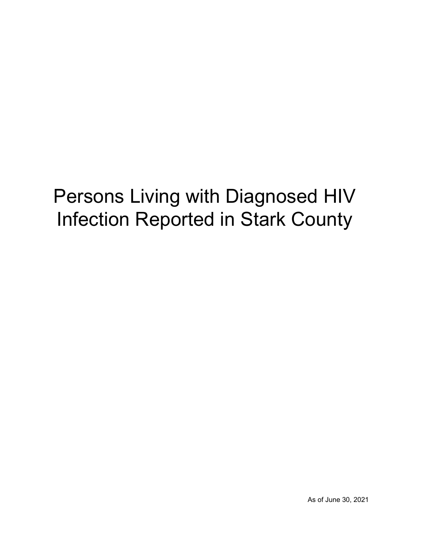# Persons Living with Diagnosed HIV Infection Reported in Stark County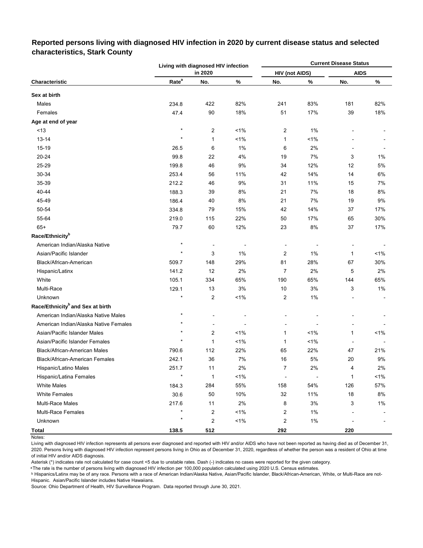# **Reported persons living with diagnosed HIV infection in 2020 by current disease status and selected characteristics, Stark County**

|                                              |                   | Living with diagnosed HIV infection |         | <b>Current Disease Status</b> |                |             |       |  |
|----------------------------------------------|-------------------|-------------------------------------|---------|-------------------------------|----------------|-------------|-------|--|
|                                              |                   | in 2020                             |         | <b>HIV (not AIDS)</b>         |                | <b>AIDS</b> |       |  |
| Characteristic                               | Rate <sup>a</sup> | No.                                 | $\%$    | No.                           | %              | No.         | ℅     |  |
| Sex at birth                                 |                   |                                     |         |                               |                |             |       |  |
| Males                                        | 234.8             | 422                                 | 82%     | 241                           | 83%            | 181         | 82%   |  |
| Females                                      | 47.4              | 90                                  | 18%     | 51                            | 17%            | 39          | 18%   |  |
| Age at end of year                           |                   |                                     |         |                               |                |             |       |  |
| < 13                                         | $\star$           | 2                                   | $1\%$   | $\overline{\mathbf{c}}$       | 1%             |             |       |  |
| $13 - 14$                                    | $\star$           | $\mathbf{1}$                        | $1\%$   | 1                             | 1%             |             |       |  |
| $15-19$                                      | 26.5              | 6                                   | 1%      | 6                             | 2%             |             |       |  |
| 20-24                                        | 99.8              | 22                                  | 4%      | 19                            | 7%             | 3           | 1%    |  |
| 25-29                                        | 199.8             | 46                                  | 9%      | 34                            | 12%            | 12          | 5%    |  |
| 30-34                                        | 253.4             | 56                                  | 11%     | 42                            | 14%            | 14          | 6%    |  |
| 35-39                                        | 212.2             | 46                                  | 9%      | 31                            | 11%            | 15          | 7%    |  |
| 40-44                                        | 188.3             | 39                                  | 8%      | 21                            | 7%             | 18          | 8%    |  |
| 45-49                                        | 186.4             | 40                                  | $8\%$   | 21                            | 7%             | 19          | 9%    |  |
| 50-54                                        | 334.8             | 79                                  | 15%     | 42                            | 14%            | 37          | 17%   |  |
| 55-64                                        | 219.0             | 115                                 | 22%     | 50                            | 17%            | 65          | 30%   |  |
| $65+$                                        | 79.7              | 60                                  | 12%     | 23                            | 8%             | 37          | 17%   |  |
| Race/Ethnicity <sup>b</sup>                  |                   |                                     |         |                               |                |             |       |  |
| American Indian/Alaska Native                | $\star$           |                                     |         | $\overline{\phantom{a}}$      |                |             |       |  |
| Asian/Pacific Islander                       | $\star$           | 3                                   | 1%      | $\overline{2}$                | 1%             | 1           | <1%   |  |
| Black/African-American                       | 509.7             | 148                                 | 29%     | 81                            | 28%            | 67          | 30%   |  |
| Hispanic/Latinx                              | 141.2             | 12                                  | 2%      | 7                             | 2%             | 5           | 2%    |  |
| White                                        | 105.1             | 334                                 | 65%     | 190                           | 65%            | 144         | 65%   |  |
| Multi-Race                                   | 129.1             | 13                                  | 3%      | 10                            | 3%             | 3           | $1\%$ |  |
| Unknown                                      | $\star$           | $\overline{c}$                      | 1%      | $\overline{\mathbf{c}}$       | 1%             |             |       |  |
| Race/Ethnicity <sup>b</sup> and Sex at birth |                   |                                     |         |                               |                |             |       |  |
| American Indian/Alaska Native Males          | $\star$           |                                     |         |                               |                |             |       |  |
| American Indian/Alaska Native Females        | $\star$           |                                     |         |                               |                |             |       |  |
| Asian/Pacific Islander Males                 | $\star$           | 2                                   | $< 1\%$ | 1                             | $< 1\%$        | 1           | 1%    |  |
| Asian/Pacific Islander Females               |                   | 1                                   | $1\%$   | 1                             | $< 1\%$        |             |       |  |
| Black/African-American Males                 | 790.6             | 112                                 | 22%     | 65                            | 22%            | 47          | 21%   |  |
| Black/African-American Females               | 242.1             | 36                                  | $7\%$   | 16                            | $5\%$          | 20          | $9\%$ |  |
| Hispanic/Latino Males                        | 251.7             | 11                                  | $2\%$   | $\overline{7}$                | 2%             | 4           | 2%    |  |
| Hispanic/Latina Females                      | $\star$           | $\mathbf{1}$                        | 1%      | $\overline{a}$                | $\overline{a}$ | 1           | 1%    |  |
| <b>White Males</b>                           | 184.3             | 284                                 | 55%     | 158                           | 54%            | 126         | 57%   |  |
| <b>White Females</b>                         | $30.6\,$          | 50                                  | 10%     | 32                            | 11%            | 18          | 8%    |  |
| <b>Multi-Race Males</b>                      | 217.6             | 11                                  | 2%      | 8                             | 3%             | 3           | 1%    |  |
| <b>Multi-Race Females</b>                    | $\star$           | 2                                   | 1%      | 2                             | 1%             |             |       |  |
| Unknown                                      | $\star$           | $\overline{\mathbf{c}}$             | 1%      | 2                             | $1\%$          |             |       |  |
| Total                                        | 138.5             | 512                                 |         | 292                           |                | 220         |       |  |

Notes:

Living with diagnosed HIV infection represents all persons ever diagnosed and reported with HIV and/or AIDS who have not been reported as having died as of December 31, 2020. Persons living with diagnosed HIV infection represent persons living in Ohio as of December 31, 2020, regardless of whether the person was a resident of Ohio at time of initial HIV and/or AIDS diagnosis.

Asterisk (\*) indicates rate not calculated for case count <5 due to unstable rates. Dash (-) indicates no cases were reported for the given category.

a The rate is the number of persons living with diagnosed HIV infection per 100,000 population calculated using 2020 U.S. Census estimates.

ᵇ Hispanics/Latinx may be of any race. Persons with a race of American Indian/Alaska Native, Asian/Pacific Islander, Black/African-American, White, or Multi-Race are not-Hispanic. Asian/Pacific Islander includes Native Hawaiians.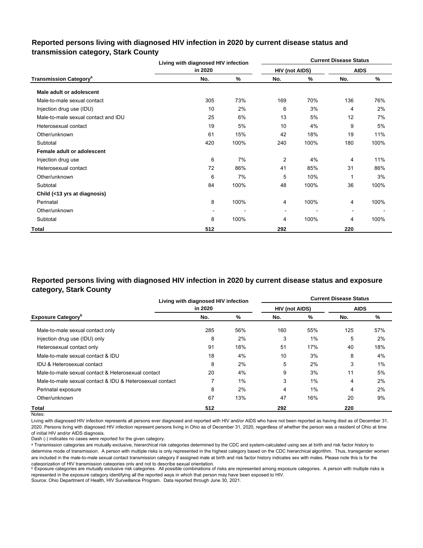# **Reported persons living with diagnosed HIV infection in 2020 by current disease status and transmission category, Stark County**

|                                          | Living with diagnosed HIV infection |      | <b>Current Disease Status</b> |      |                          |      |
|------------------------------------------|-------------------------------------|------|-------------------------------|------|--------------------------|------|
|                                          | in 2020                             |      | <b>HIV (not AIDS)</b>         |      | <b>AIDS</b>              |      |
| <b>Transmission Category<sup>a</sup></b> | No.                                 | %    | No.                           | %    | No.                      | %    |
| Male adult or adolescent                 |                                     |      |                               |      |                          |      |
| Male-to-male sexual contact              | 305                                 | 73%  | 169                           | 70%  | 136                      | 76%  |
| Injection drug use (IDU)                 | 10                                  | 2%   | 6                             | 3%   | 4                        | 2%   |
| Male-to-male sexual contact and IDU      | 25                                  | 6%   | 13                            | 5%   | 12                       | 7%   |
| Heterosexual contact                     | 19                                  | 5%   | 10                            | 4%   | 9                        | 5%   |
| Other/unknown                            | 61                                  | 15%  | 42                            | 18%  | 19                       | 11%  |
| Subtotal                                 | 420                                 | 100% | 240                           | 100% | 180                      | 100% |
| Female adult or adolescent               |                                     |      |                               |      |                          |      |
| Injection drug use                       | 6                                   | 7%   | 2                             | 4%   | 4                        | 11%  |
| Heterosexual contact                     | 72                                  | 86%  | 41                            | 85%  | 31                       | 86%  |
| Other/unknown                            | 6                                   | 7%   | 5                             | 10%  |                          | 3%   |
| Subtotal                                 | 84                                  | 100% | 48                            | 100% | 36                       | 100% |
| Child (<13 yrs at diagnosis)             |                                     |      |                               |      |                          |      |
| Perinatal                                | 8                                   | 100% | 4                             | 100% | 4                        | 100% |
| Other/unknown                            |                                     |      | ٠                             |      | $\overline{\phantom{a}}$ |      |
| Subtotal                                 | 8                                   | 100% | 4                             | 100% | 4                        | 100% |
| Total                                    | 512                                 |      | 292                           |      | 220                      |      |

# **Reported persons living with diagnosed HIV infection in 2020 by current disease status and exposure category, Stark County**

|                                                          | Living with diagnosed HIV infection |       | <b>Current Disease Status</b> |       |             |     |  |
|----------------------------------------------------------|-------------------------------------|-------|-------------------------------|-------|-------------|-----|--|
|                                                          | in 2020                             |       | <b>HIV (not AIDS)</b>         |       | <b>AIDS</b> |     |  |
| <b>Exposure Category</b> <sup>b</sup>                    | No.                                 | %     | No.                           | %     | No.         | %   |  |
| Male-to-male sexual contact only                         | 285                                 | 56%   | 160                           | 55%   | 125         | 57% |  |
| Injection drug use (IDU) only                            | 8                                   | 2%    | 3                             | 1%    | 5           | 2%  |  |
| Heterosexual contact only                                | 91                                  | 18%   | 51                            | 17%   | 40          | 18% |  |
| Male-to-male sexual contact & IDU                        | 18                                  | 4%    | 10                            | 3%    | 8           | 4%  |  |
| <b>IDU &amp; Heterosexual contact</b>                    | 8                                   | 2%    | 5                             | 2%    | 3           | 1%  |  |
| Male-to-male sexual contact & Heterosexual contact       | 20                                  | 4%    | 9                             | 3%    | 11          | 5%  |  |
| Male-to-male sexual contact & IDU & Heterosexual contact | 7                                   | $1\%$ | 3                             | 1%    | 4           | 2%  |  |
| Perinatal exposure                                       | 8                                   | 2%    | 4                             | $1\%$ | 4           | 2%  |  |
| Other/unknown                                            | 67                                  | 13%   | 47                            | 16%   | 20          | 9%  |  |
| Total                                                    | 512                                 |       | 292                           |       | 220         |     |  |

Notes:

Living with diagnosed HIV infection represents all persons ever diagnosed and reported with HIV and/or AIDS who have not been reported as having died as of December 31, 2020. Persons living with diagnosed HIV infection represent persons living in Ohio as of December 31, 2020, regardless of whether the person was a resident of Ohio at time of initial HIV and/or AIDS diagnosis.

Dash (-) indicates no cases were reported for the given category.

a Transmission categories are mutually exclusive, hierarchical risk categories determined by the CDC and system-calculated using sex at birth and risk factor history to determine mode of transmission. A person with multiple risks is only represented in the highest category based on the CDC hierarchical algorithm. Thus, transgender women are included in the male-to-male sexual contact transmission category if assigned male at birth and risk factor history indicates sex with males. Please note this is for the categorization of HIV transmission categories only and not to describe sexual orientation.

**b** Exposure categories are mutually exclusive risk categories. All possible combinations of risks are represented among exposure categories. A person with multiple risks is represented in the exposure category identifying all the reported ways in which that person may have been exposed to HIV.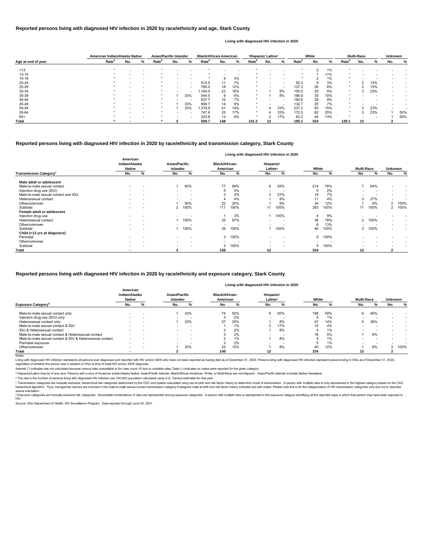|                    |                   | American Indian/Alaska Native |   | <b>Asian/Pacific Islander</b> |                          |                          | <b>Black/African-American</b> |     |                          | Hispanic/ Latinx <sup>a</sup> |     |                          | White             |     |     | <b>Multi-Race</b> |     | <b>Unknown</b>           |     |     |
|--------------------|-------------------|-------------------------------|---|-------------------------------|--------------------------|--------------------------|-------------------------------|-----|--------------------------|-------------------------------|-----|--------------------------|-------------------|-----|-----|-------------------|-----|--------------------------|-----|-----|
| Age at end of year | Rate <sup>b</sup> | No.                           | % | Rate <sup>r</sup>             | No.                      | %                        | Rate <sup>r</sup>             | No. | %                        | Rate <sup>p</sup>             | No. | %                        | Rate <sup>p</sup> | No. | %   | Rate <sup>'</sup> | No. | %                        | No. | ℅   |
| ~13                |                   |                               |   |                               |                          |                          |                               |     |                          |                               |     |                          |                   |     | 1%  |                   |     |                          |     |     |
| $13 - 14$          |                   |                               |   |                               |                          | $\overline{\phantom{0}}$ |                               |     | $\overline{\phantom{a}}$ |                               |     | $\overline{\phantom{0}}$ |                   |     | 1%  |                   |     |                          |     |     |
| $15 - 19$          |                   |                               |   |                               |                          |                          |                               |     | 3%                       |                               |     |                          |                   |     | 1%  |                   |     |                          |     |     |
| 20-24              |                   |                               |   |                               |                          | $\overline{\phantom{a}}$ | 515.5                         |     | 7%                       |                               |     | $\overline{\phantom{0}}$ | 50.3              | 9   | 3%  |                   |     | 15%                      |     |     |
| 25-29              |                   |                               |   |                               | $\overline{\phantom{0}}$ | $\overline{\phantom{a}}$ | 785.0                         | 18  | 12%                      |                               |     | $\overline{\phantom{a}}$ | 137.3             | 26  | 8%  |                   |     | 15%                      |     |     |
| 30-34              |                   |                               |   |                               |                          | $\overline{\phantom{a}}$ | .164.0                        | 23  | 16%                      |                               |     | 8%                       | 155.0             | 29  | 9%  |                   | з   | 23%                      |     |     |
| 35-39              |                   |                               |   |                               |                          | 33%                      | 544.5                         |     | 6%                       |                               |     | 8%                       | 186.8             | 35  | 10% |                   |     |                          |     |     |
| 40-44              |                   |                               |   |                               |                          |                          | 627.7                         | 10  | 7%                       |                               |     | $\overline{\phantom{0}}$ | 160.6             | 29  | 9%  |                   |     |                          |     |     |
| 45-49              |                   |                               |   |                               |                          | 33%                      | 899.7                         | 14  | 9%                       | $\star$                       |     | $\overline{\phantom{a}}$ | 132.7             | 25  | 7%  |                   |     |                          |     |     |
| 50-54              |                   |                               |   |                               |                          | 33%                      | 1,319.9                       | 21  | 14%                      | $\star$                       |     | 33%                      | 237.2             | 50  | 15% |                   | 3   | 23%                      |     |     |
| 55-64              |                   |                               |   |                               | $\overline{\phantom{a}}$ | $\overline{\phantom{a}}$ | 747.6                         | 25  | 17%                      | $\star$                       |     | 33%                      | 172.5             | 82  | 25% | $\star$           |     | 23%                      |     | 50% |
| $65+$              |                   |                               |   |                               |                          | $\overline{\phantom{a}}$ | 323.8                         | 13  | 9%                       |                               |     | 17%                      | 63.2              | 44  | 13% |                   |     | $\overline{\phantom{a}}$ |     | 50% |
| <b>Total</b>       |                   | -                             |   |                               |                          |                          | 509.7                         | 148 |                          | 141.2                         | 12  |                          | 105.1             | 334 |     | 129.1             | 13  |                          |     |     |

© Transmission categories are mutually exclusive, hierarchical risk categories determined by the CDC and system-calculated using sex at birth and risk factor history to determine mode of transmission. A person with multip hierarchical algorithm. Thus, transgender women are included in the male-to-male sexual contact transmission category if assigned male at birth and risk factor history indicates sex with males. Please note this is for the sexual orientation.

<sup>d</sup> Exposure categories are mutually exclusive risk categories. All possible combinations of risks are represented among exposure categories. A person with multiple risks is represented in the exposure category identifying

|                                          | Living with diagnosed HIV infection in 2020 |                          |                                         |                          |                                   |      |                                  |                          |                          |      |                          |         |                          |  |
|------------------------------------------|---------------------------------------------|--------------------------|-----------------------------------------|--------------------------|-----------------------------------|------|----------------------------------|--------------------------|--------------------------|------|--------------------------|---------|--------------------------|--|
| <b>Transmission Category<sup>c</sup></b> | American<br>Indian/Alaska<br><b>Native</b>  |                          | <b>Asian/Pacific</b><br><b>Islander</b> |                          | <b>Black/African-</b><br>American |      | Hispanic/<br>Latinx <sup>a</sup> |                          | White                    |      | <b>Multi-Race</b>        | Unknown |                          |  |
|                                          | No.                                         | %                        | No.                                     | %                        | No.                               | %    | No.                              | %                        | No.                      | %    | No.                      | %       | No.<br>%                 |  |
| Male adult or adolescent                 |                                             |                          |                                         |                          |                                   |      |                                  |                          |                          |      |                          |         |                          |  |
| Male-to-male sexual contact              | $\overline{\phantom{a}}$                    |                          |                                         | 50%                      | 77                                | 69%  | 6                                | 55%                      | 214                      | 76%  |                          | 64%     | $\overline{\phantom{0}}$ |  |
| Injection drug use (IDU)                 |                                             |                          | $\overline{\phantom{0}}$                |                          |                                   | 5%   | $\overline{\phantom{0}}$         |                          | 5                        | 2%   | $\overline{\phantom{0}}$ |         |                          |  |
| Male-to-male sexual contact and IDU      |                                             | $\overline{\phantom{a}}$ | $\overline{\phantom{a}}$                | $\overline{\phantom{a}}$ |                                   | 3%   | 3                                | 27%                      | 19                       | 7%   |                          |         |                          |  |
| Heterosexual contact                     |                                             | $\overline{\phantom{0}}$ | $\overline{\phantom{0}}$                | $\overline{\phantom{a}}$ |                                   | 4%   |                                  | 9%                       | 11                       | 4%   | 3                        | 27%     |                          |  |
| Other/unknown                            |                                             |                          |                                         | 50%                      | 22                                | 20%  |                                  | 9%                       | 34                       | 12%  |                          | 9%      | 100%<br>2                |  |
| Subtotal                                 |                                             | $\overline{\phantom{0}}$ |                                         | 100%                     | 111                               | 100% |                                  | 100%                     | 283                      | 100% |                          | 100%    | 100%<br>2                |  |
| Female adult or adolescent               |                                             |                          |                                         |                          |                                   |      |                                  |                          |                          |      |                          |         |                          |  |
| Injection drug use                       |                                             |                          |                                         |                          |                                   | 3%   |                                  | 100%                     |                          | 9%   |                          |         |                          |  |
| Heterosexual contact                     |                                             |                          |                                         | 100%                     | 33                                | 97%  | $\overline{\phantom{0}}$         |                          | 36                       | 78%  | 2                        | 100%    |                          |  |
| Other/unknown                            |                                             | $\overline{\phantom{a}}$ |                                         | $\overline{\phantom{a}}$ |                                   |      |                                  |                          | 6                        | 13%  |                          |         | $\overline{\phantom{0}}$ |  |
| Subtotal                                 |                                             |                          |                                         | 100%                     | 34                                | 100% |                                  | 100%                     | 46                       | 100% | $\mathbf{2}$             | 100%    | $\overline{\phantom{0}}$ |  |
| Child (<13 yrs at diagnosis)             |                                             |                          |                                         |                          |                                   |      |                                  |                          |                          |      |                          |         |                          |  |
| Perinatal                                |                                             |                          | $\overline{\phantom{0}}$                |                          | 3                                 | 100% | $\overline{\phantom{a}}$         |                          | 5                        | 100% | $\overline{\phantom{0}}$ |         |                          |  |
| Other/unknown                            |                                             | $\overline{\phantom{a}}$ | $\sim$                                  | $\overline{\phantom{a}}$ | $\overline{\phantom{0}}$          |      | $\overline{\phantom{a}}$         | $\overline{\phantom{a}}$ | $\overline{\phantom{0}}$ |      | $\overline{\phantom{0}}$ |         |                          |  |
| Subtotal                                 | $\overline{\phantom{0}}$                    |                          | $\overline{\phantom{a}}$                |                          | 3                                 | 100% | $\overline{a}$                   |                          | $\mathbf b$              | 100% | $\overline{\phantom{0}}$ |         |                          |  |
| Total                                    |                                             |                          |                                         |                          | 148                               |      | 12                               |                          | 334                      |      | 13                       |         |                          |  |

|                                                          | American<br>Indian/Alaska<br><b>Native</b> |                          | Asian/Pacific<br>Islander |                          |     | <b>Black/African-</b><br>American |                          | Hispanic/<br>Latinx <sup>a</sup> |     | White |     | <b>Multi-Race</b> |     | <b>Unknown</b> |
|----------------------------------------------------------|--------------------------------------------|--------------------------|---------------------------|--------------------------|-----|-----------------------------------|--------------------------|----------------------------------|-----|-------|-----|-------------------|-----|----------------|
| <b>Exposure Category<sup>a</sup></b>                     | No.                                        |                          | No.                       |                          | No. |                                   | No.                      |                                  | No. |       | No. |                   | No. |                |
| Male-to-male sexual contact only                         |                                            | $\overline{\phantom{a}}$ |                           | 33%                      | 74  | 50%                               | 6                        | 50%                              | 198 | 59%   | 6   | 46%               |     |                |
| Injection drug use (IDU) only                            |                                            | $\overline{\phantom{a}}$ |                           |                          |     | 2%                                |                          | -                                |     | 1%    |     |                   |     |                |
| Heterosexual contact only                                |                                            |                          |                           | 33%                      | 37  | 25%                               |                          | 8%                               | 47  | 14%   | 5   | 38%               |     |                |
| Male-to-male sexual contact & IDU                        |                                            |                          |                           | $\overline{\phantom{a}}$ |     | 1%                                |                          | 17%                              | 15  | 4%    |     |                   |     |                |
| IDU & Heterosexual contact                               | $\overline{\phantom{0}}$                   | $\overline{\phantom{a}}$ | $\sim$                    | $\overline{\phantom{a}}$ |     | 2%                                |                          | 8%                               |     | 1%    |     |                   |     |                |
| Male-to-male sexual contact & Heterosexual contact       |                                            | $\overline{\phantom{a}}$ | $\overline{\phantom{a}}$  | $\overline{\phantom{a}}$ |     | 2%                                |                          |                                  | 16  | 5%    |     | 8%                |     |                |
| Male-to-male sexual contact & IDU & Heterosexual contact |                                            |                          |                           |                          |     | 1%                                |                          | 8%                               |     | 1%    |     |                   |     |                |
| Perinatal exposure                                       |                                            | $\overline{\phantom{a}}$ | $\overline{\phantom{0}}$  | $\overline{\phantom{a}}$ |     | 2%                                | $\overline{\phantom{0}}$ |                                  |     | 1%    |     |                   |     |                |
| Other/unknown                                            |                                            | $\overline{\phantom{a}}$ |                           | 33%                      | 22  | 15%                               |                          | 8%                               | 40  | 12%   |     | 8%                |     | 100%           |
| Total                                                    |                                            |                          |                           |                          | 148 |                                   | 12                       |                                  | 334 |       | 13  |                   |     |                |

Notes:

Living with diagnosed HIV infection represents all persons ever diagnosed and reported with HIV and/or AIDS who have not been reported as having died as of December 31, 2020. Persons living with diagnosed HIV infection rep regardless of whether the person was a resident of Ohio at time of initial HIV and/or AIDS diagnosis.

#### **Reported persons living with diagnosed HIV infection in 2020 by race/ethnicity and transmission category, Stark County**

#### **Reported persons living with diagnosed HIV infection in 2020 by race/ethnicity and age, Stark County**

#### **Living with diagnosed HIV infection in 2020**

#### **Reported persons living with diagnosed HIV infection in 2020 by race/ethnicity and exposure category, Stark County**

#### **Living with diagnosed HIV infection in 2020**

Source: Ohio Department of Health, HIV Surveillance Program. Data reported through June 30, 2021.

ᵇ The rate is the number of persons living with diagnosed HIV infection per 100,000 population calculated using U.S. Census estimates for that year.

Asterisk (\*) indicates rate not calculated because census data unavailable or for case count <5 due to unstable rates. Dash (-) indicates no cases were reported for the given category.

a Hispanics/Latinx may be of any race. Persons with a race of American Indian/Alaska Native, Asian/Pacific Islander, Black/African-American, White, or Multi-Race are not-Hispanic. Asian/Pacific Islander includes Native Haw

#### HIV.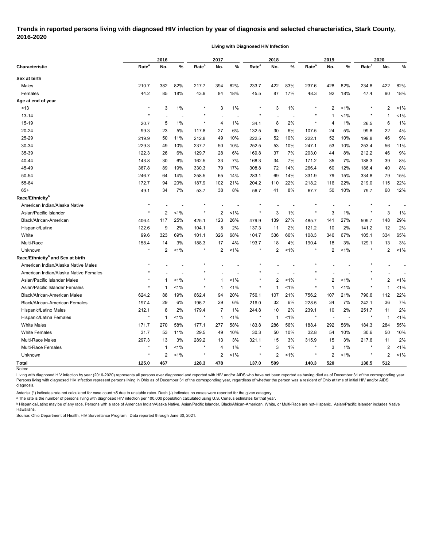# **Trends in reported persons living with diagnosed HIV infection by year of diagnosis and selected characteristics, Stark County, 2016-2020**

**Living with Diagnosed HIV Infection**

|                                              | 2016              |                |       | 2017              |             |         | 2018              |     |         | 2019              |                |       | 2020              |                |         |
|----------------------------------------------|-------------------|----------------|-------|-------------------|-------------|---------|-------------------|-----|---------|-------------------|----------------|-------|-------------------|----------------|---------|
| <b>Characteristic</b>                        | Rate <sup>a</sup> | No.            | %     | Rate <sup>a</sup> | No.         | %       | Rate <sup>a</sup> | No. | %       | Rate <sup>a</sup> | No.            | %     | Rate <sup>a</sup> | No.            | %       |
| Sex at birth                                 |                   |                |       |                   |             |         |                   |     |         |                   |                |       |                   |                |         |
| Males                                        | 210.7             | 382            | 82%   | 217.7             | 394         | 82%     | 233.7             | 422 | 83%     | 237.6             | 428            | 82%   | 234.8             | 422            | 82%     |
| Females                                      | 44.2              | 85             | 18%   | 43.9              | 84          | 18%     | 45.5              | 87  | 17%     | 48.3              | 92             | 18%   | 47.4              | 90             | 18%     |
| Age at end of year                           |                   |                |       |                   |             |         |                   |     |         |                   |                |       |                   |                |         |
| ~13                                          | $\star$           | 3              | 1%    |                   | 3           | 1%      | $\star$           | 3   | 1%      | $\star$           | $\overline{2}$ | $1\%$ |                   | $\overline{2}$ | $1\%$   |
| 13-14                                        | $\star$           |                |       |                   |             |         | $\star$           |     |         |                   | -1             | 1%    |                   | 1              | 1%      |
| 15-19                                        | 20.7              | 5              | 1%    | $\star$           | 4           | 1%      | 34.1              | 8   | 2%      | $\ast$            | 4              | 1%    | 26.5              | 6              | 1%      |
| 20-24                                        | 99.3              | 23             | 5%    | 117.8             | 27          | 6%      | 132.5             | 30  | 6%      | 107.5             | 24             | 5%    | 99.8              | 22             | 4%      |
| 25-29                                        | 219.9             | 50             | 11%   | 212.8             | 49          | 10%     | 222.5             | 52  | 10%     | 222.1             | 52             | 10%   | 199.8             | 46             | 9%      |
| 30-34                                        | 229.3             | 49             | 10%   | 237.7             | 50          | 10%     | 252.5             | 53  | 10%     | 247.1             | 53             | 10%   | 253.4             | 56             | 11%     |
| 35-39                                        | 122.3             | 26             | 6%    | 129.7             | 28          | 6%      | 169.8             | 37  | 7%      | 203.0             | 44             | 8%    | 212.2             | 46             | 9%      |
| 40-44                                        | 143.8             | 30             | 6%    | 162.5             | 33          | 7%      | 168.3             | 34  | 7%      | 171.2             | 35             | 7%    | 188.3             | 39             | 8%      |
| 45-49                                        | 367.8             | 89             | 19%   | 330.3             | 79          | 17%     | 308.8             | 72  | 14%     | 266.4             | 60             | 12%   | 186.4             | 40             | 8%      |
| 50-54                                        | 246.7             | 64             | 14%   | 258.5             | 65          | 14%     | 283.1             | 69  | 14%     | 331.9             | 79             | 15%   | 334.8             | 79             | 15%     |
| 55-64                                        | 172.7             | 94             | 20%   | 187.9             | 102         | 21%     | 204.2             | 110 | 22%     | 218.2             | 116            | 22%   | 219.0             | 115            | 22%     |
| $65+$                                        | 49.1              | 34             | 7%    | 53.7              | 38          | 8%      | 56.7              | 41  | 8%      | 67.7              | 50             | 10%   | 79.7              | 60             | 12%     |
| Race/Ethnicity <sup>b</sup>                  |                   |                |       |                   |             |         |                   |     |         |                   |                |       |                   |                |         |
| American Indian/Alaska Native                | $^\star$          |                |       |                   |             |         |                   |     |         |                   |                |       |                   |                |         |
| Asian/Pacific Islander                       | $^\star$          | $\overline{2}$ | 1%    |                   | 2           | 1%      | $\star$           | 3   | 1%      |                   | 3              | 1%    | $^\ast$           | 3              | 1%      |
| Black/African-American                       | 406.4             | 117            | 25%   | 425.1             | 123         | 26%     | 479.9             | 139 | 27%     | 485.7             | 141            | 27%   | 509.7             | 148            | 29%     |
| Hispanic/Latinx                              | 122.6             | 9              | 2%    | 104.1             | 8           | 2%      | 137.3             | 11  | 2%      | 121.2             | 10             | 2%    | 141.2             | 12             | 2%      |
| White                                        | 99.6              | 323            | 69%   | 101.1             | 326         | 68%     | 104.7             | 336 | 66%     | 108.3             | 346            | 67%   | 105.1             | 334            | 65%     |
| Multi-Race                                   | 158.4             | 14             | 3%    | 188.3             | 17          | 4%      | 193.7             | 18  | 4%      | 190.4             | 18             | 3%    | 129.1             | 13             | 3%      |
| Unknown                                      | $\star$           | $\overline{2}$ | 1%    | $\star$           | 2           | 1%      | ×                 | 2   | 1%      | $\star$           | $\overline{2}$ | 1%    | $^\ast$           | 2              | $< 1\%$ |
| Race/Ethnicity <sup>b</sup> and Sex at birth |                   |                |       |                   |             |         |                   |     |         |                   |                |       |                   |                |         |
| American Indian/Alaska Native Males          | $\ast$            |                |       |                   |             |         |                   |     |         |                   |                |       |                   |                |         |
| American Indian/Alaska Native Females        |                   |                |       |                   |             |         |                   |     |         |                   |                |       |                   |                |         |
| Asian/Pacific Islander Males                 |                   | $\mathbf 1$    | 1%    |                   |             | 1%      |                   | 2   | $1\%$   |                   | $\overline{2}$ | 1%    |                   | $\overline{2}$ | 1%      |
| Asian/Pacific Islander Females               | $\star$           | $\mathbf 1$    | 1%    |                   | -1          | 1%      | ×                 | 1   | $1\%$   | $\ast$            | $\overline{1}$ | <1%   |                   | 1              | 1%      |
| <b>Black/African-American Males</b>          | 624.2             | 88             | 19%   | 662.4             | 94          | 20%     | 756.1             | 107 | 21%     | 756.2             | 107            | 21%   | 790.6             | 112            | 22%     |
| <b>Black/African-American Females</b>        | 197.4             | 29             | 6%    | 196.7             | 29          | 6%      | 216.0             | 32  | 6%      | 228.5             | 34             | 7%    | 242.1             | 36             | 7%      |
| Hispanic/Latino Males                        | 212.1             | 8              | 2%    | 179.4             | 7           | 1%      | 244.8             | 10  | 2%      | 239.1             | 10             | 2%    | 251.7             | 11             | 2%      |
| Hispanic/Latina Females                      | $\star$           | $\mathbf{1}$   | 1%    |                   | $\mathbf 1$ | 1%      | $\star$           | 1   | $< 1\%$ |                   |                |       | $^\star$          | 1              | 1%      |
| <b>White Males</b>                           | 171.7             | 270            | 58%   | 177.1             | 277         | 58%     | 183.8             | 286 | 56%     | 188.4             | 292            | 56%   | 184.3             | 284            | 55%     |
| <b>White Females</b>                         | 31.7              | 53             | 11%   | 29.5              | 49          | 10%     | 30.3              | 50  | 10%     | 32.8              | 54             | 10%   | 30.6              | 50             | 10%     |
| Multi-Race Males                             | 297.3             | 13             | 3%    | 289.2             | 13          | 3%      | 321.1             | 15  | 3%      | 315.9             | 15             | 3%    | 217.6             | 11             | 2%      |
| Multi-Race Females                           | $\star$           | $\mathbf{1}$   | 1%    | $\star$           | 4           | 1%      | $\star$           | 3   | 1%      | $\ast$            | 3              | 1%    | $^\star$          | $\overline{2}$ | 1%      |
| Unknown                                      | $\star$           | 2              | $1\%$ | $\star$           | 2           | $< 1\%$ | $\star$           | 2   | $1\%$   | $\star$           | 2              | $1\%$ | $^{\ast}$         | $\overline{c}$ | 1%      |
| <b>Total</b><br>Notes:                       | 125.0             | 467            |       | 128.3             | 478         |         | 137.0             | 509 |         | 140.3             | 520            |       | 138.5             | 512            |         |

Living with diagnosed HIV infection by year (2016-2020) represents all persons ever diagnosed and reported with HIV and/or AIDS who have not been reported as having died as of December 31 of the corresponding year. Persons living with diagnosed HIV infection represent persons living in Ohio as of December 31 of the corresponding year, regardless of whether the person was a resident of Ohio at time of initial HIV and/or AIDS diagnosis.

Asterisk (\*) indicates rate not calculated for case count <5 due to unstable rates. Dash (-) indicates no cases were reported for the given category.

<sup>a</sup> The rate is the number of persons living with diagnosed HIV infection per 100,000 population calculated using U.S. Census estimates for that year.

ᵇ Hispanics/Latinx may be of any race. Persons with a race of American Indian/Alaska Native, Asian/Pacific Islander, Black/African-American, White, or Multi-Race are not-Hispanic. Asian/Pacific Islander includes Native Hawaiians.